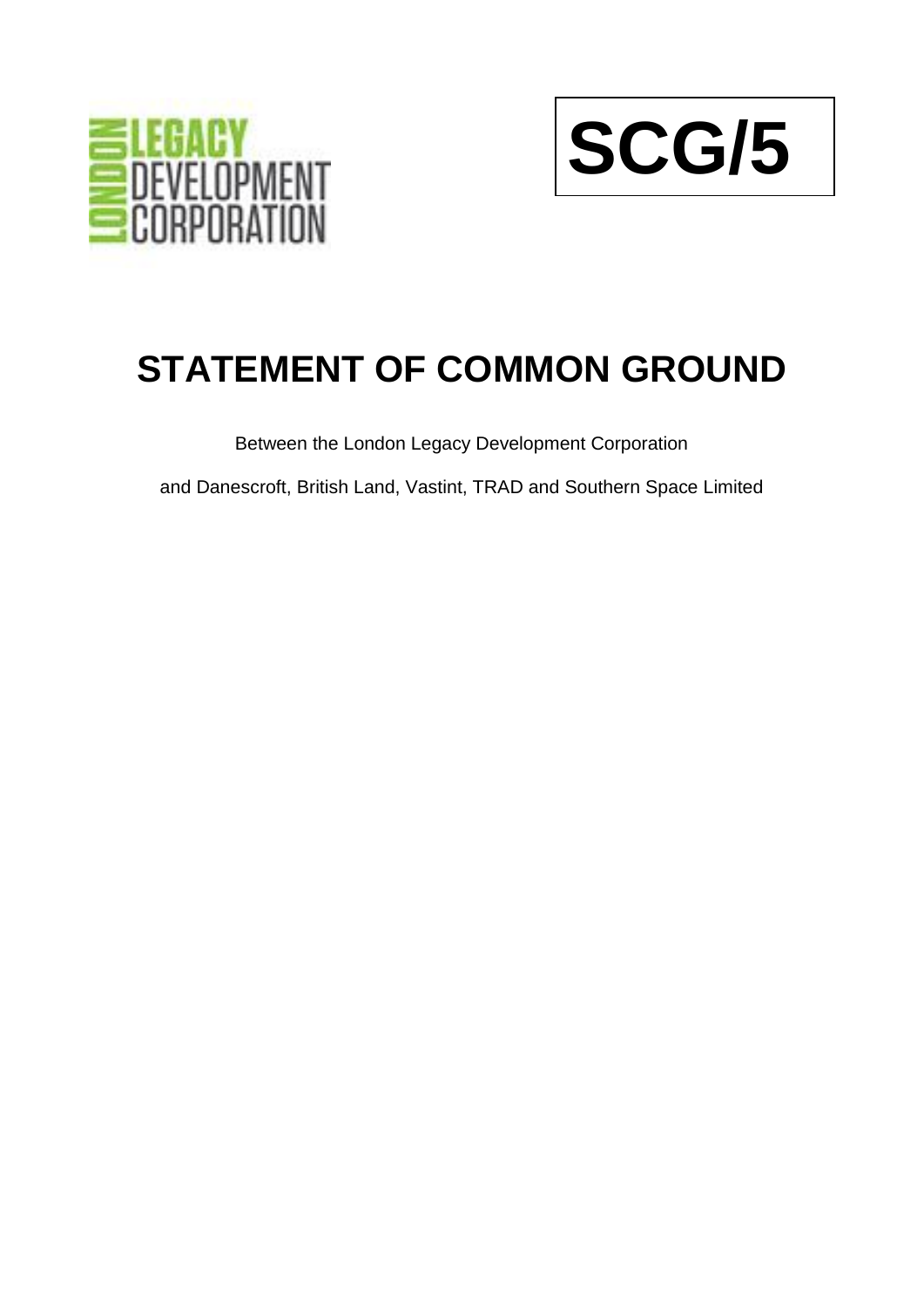



## **STATEMENT OF COMMON GROUND**

Between the London Legacy Development Corporation

and Danescroft, British Land, Vastint, TRAD and Southern Space Limited